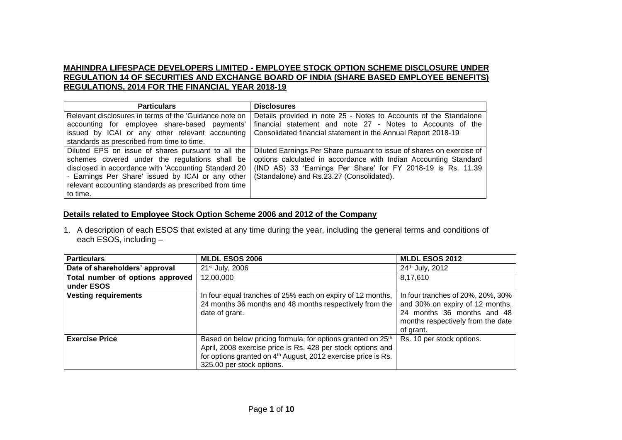## **MAHINDRA LIFESPACE DEVELOPERS LIMITED - EMPLOYEE STOCK OPTION SCHEME DISCLOSURE UNDER REGULATION 14 OF SECURITIES AND EXCHANGE BOARD OF INDIA (SHARE BASED EMPLOYEE BENEFITS) REGULATIONS, 2014 FOR THE FINANCIAL YEAR 2018-19**

| <b>Particulars</b>                                                                                                                                                                                                                                                                     | <b>Disclosures</b>                                                                                                                                                                                                                                     |
|----------------------------------------------------------------------------------------------------------------------------------------------------------------------------------------------------------------------------------------------------------------------------------------|--------------------------------------------------------------------------------------------------------------------------------------------------------------------------------------------------------------------------------------------------------|
| Relevant disclosures in terms of the 'Guidance note on<br>accounting for employee share-based payments'<br>issued by ICAI or any other relevant accounting                                                                                                                             | Details provided in note 25 - Notes to Accounts of the Standalone<br>financial statement and note 27 - Notes to Accounts of the<br>Consolidated financial statement in the Annual Report 2018-19                                                       |
| standards as prescribed from time to time.                                                                                                                                                                                                                                             |                                                                                                                                                                                                                                                        |
| Diluted EPS on issue of shares pursuant to all the<br>schemes covered under the regulations shall be<br>disclosed in accordance with 'Accounting Standard 20<br>- Earnings Per Share' issued by ICAI or any other<br>relevant accounting standards as prescribed from time<br>to time. | Diluted Earnings Per Share pursuant to issue of shares on exercise of<br>options calculated in accordance with Indian Accounting Standard<br>(IND AS) 33 'Earnings Per Share' for FY 2018-19 is Rs. 11.39<br>(Standalone) and Rs.23.27 (Consolidated). |

### **Details related to Employee Stock Option Scheme 2006 and 2012 of the Company**

1. A description of each ESOS that existed at any time during the year, including the general terms and conditions of each ESOS, including –

| <b>Particulars</b>                             | <b>MLDL ESOS 2006</b>                                                                                                                                                                                                                            | <b>MLDL ESOS 2012</b>                                                                                                                                |
|------------------------------------------------|--------------------------------------------------------------------------------------------------------------------------------------------------------------------------------------------------------------------------------------------------|------------------------------------------------------------------------------------------------------------------------------------------------------|
| Date of shareholders' approval                 | 21 <sup>st</sup> July, 2006                                                                                                                                                                                                                      | 24th July, 2012                                                                                                                                      |
| Total number of options approved<br>under ESOS | 12,00,000                                                                                                                                                                                                                                        | 8,17,610                                                                                                                                             |
| <b>Vesting requirements</b>                    | In four equal tranches of 25% each on expiry of 12 months,<br>24 months 36 months and 48 months respectively from the<br>date of grant.                                                                                                          | In four tranches of 20%, 20%, 30%<br>and 30% on expiry of 12 months,<br>24 months 36 months and 48<br>months respectively from the date<br>of grant. |
| <b>Exercise Price</b>                          | Based on below pricing formula, for options granted on 25 <sup>th</sup><br>April, 2008 exercise price is Rs. 428 per stock options and<br>for options granted on 4 <sup>th</sup> August, 2012 exercise price is Rs.<br>325.00 per stock options. | Rs. 10 per stock options.                                                                                                                            |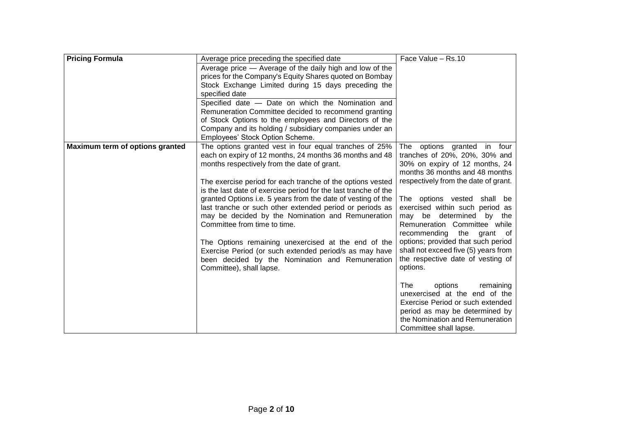| <b>Pricing Formula</b>          | Average price preceding the specified date                                                             | Face Value - Rs.10                                              |
|---------------------------------|--------------------------------------------------------------------------------------------------------|-----------------------------------------------------------------|
|                                 | Average price — Average of the daily high and low of the                                               |                                                                 |
|                                 | prices for the Company's Equity Shares quoted on Bombay                                                |                                                                 |
|                                 | Stock Exchange Limited during 15 days preceding the                                                    |                                                                 |
|                                 | specified date                                                                                         |                                                                 |
|                                 | Specified date - Date on which the Nomination and                                                      |                                                                 |
|                                 | Remuneration Committee decided to recommend granting                                                   |                                                                 |
|                                 | of Stock Options to the employees and Directors of the                                                 |                                                                 |
|                                 | Company and its holding / subsidiary companies under an                                                |                                                                 |
|                                 | Employees' Stock Option Scheme.                                                                        |                                                                 |
| Maximum term of options granted | The options granted vest in four equal tranches of 25%                                                 | options granted in four<br>The                                  |
|                                 | each on expiry of 12 months, 24 months 36 months and 48<br>months respectively from the date of grant. | tranches of 20%, 20%, 30% and<br>30% on expiry of 12 months, 24 |
|                                 |                                                                                                        | months 36 months and 48 months                                  |
|                                 | The exercise period for each tranche of the options vested                                             | respectively from the date of grant.                            |
|                                 | is the last date of exercise period for the last tranche of the                                        |                                                                 |
|                                 | granted Options i.e. 5 years from the date of vesting of the                                           | The options vested shall be                                     |
|                                 | last tranche or such other extended period or periods as                                               | exercised within such period as                                 |
|                                 | may be decided by the Nomination and Remuneration                                                      | may be determined<br>by the                                     |
|                                 | Committee from time to time.                                                                           | Remuneration Committee while                                    |
|                                 |                                                                                                        | recommending<br>the<br>grant<br>of                              |
|                                 | The Options remaining unexercised at the end of the                                                    | options; provided that such period                              |
|                                 | Exercise Period (or such extended period/s as may have                                                 | shall not exceed five (5) years from                            |
|                                 | been decided by the Nomination and Remuneration                                                        | the respective date of vesting of                               |
|                                 | Committee), shall lapse.                                                                               | options.                                                        |
|                                 |                                                                                                        |                                                                 |
|                                 |                                                                                                        | options<br>The<br>remaining                                     |
|                                 |                                                                                                        | unexercised at the end of the                                   |
|                                 |                                                                                                        | Exercise Period or such extended                                |
|                                 |                                                                                                        | period as may be determined by                                  |
|                                 |                                                                                                        | the Nomination and Remuneration                                 |
|                                 |                                                                                                        | Committee shall lapse.                                          |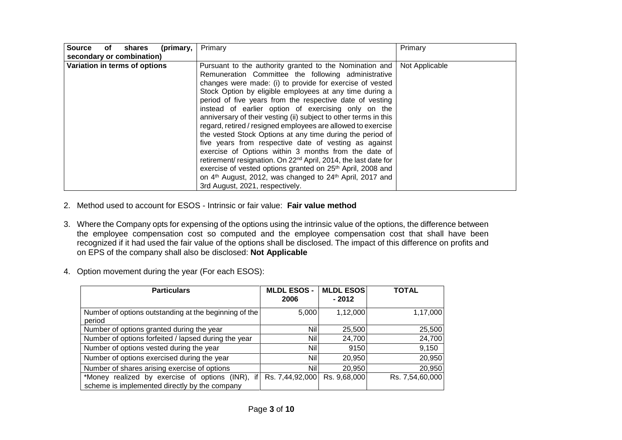| <b>Source</b><br>(primary,<br>of<br>shares | Primary                                                                                                                                                                                                                                                                                                                                                                                                                                                                                                                                                                                                                                                                                                                                                                                                                                                                                                                                                    | Primary        |
|--------------------------------------------|------------------------------------------------------------------------------------------------------------------------------------------------------------------------------------------------------------------------------------------------------------------------------------------------------------------------------------------------------------------------------------------------------------------------------------------------------------------------------------------------------------------------------------------------------------------------------------------------------------------------------------------------------------------------------------------------------------------------------------------------------------------------------------------------------------------------------------------------------------------------------------------------------------------------------------------------------------|----------------|
| secondary or combination)                  |                                                                                                                                                                                                                                                                                                                                                                                                                                                                                                                                                                                                                                                                                                                                                                                                                                                                                                                                                            |                |
| Variation in terms of options              | Pursuant to the authority granted to the Nomination and<br>Remuneration Committee the following administrative<br>changes were made: (i) to provide for exercise of vested<br>Stock Option by eligible employees at any time during a<br>period of five years from the respective date of vesting<br>instead of earlier option of exercising only on the<br>anniversary of their vesting (ii) subject to other terms in this<br>regard, retired / resigned employees are allowed to exercise<br>the vested Stock Options at any time during the period of<br>five years from respective date of vesting as against<br>exercise of Options within 3 months from the date of<br>retirement/ resignation. On 22 <sup>nd</sup> April, 2014, the last date for<br>exercise of vested options granted on 25 <sup>th</sup> April, 2008 and<br>on 4 <sup>th</sup> August, 2012, was changed to 24 <sup>th</sup> April, 2017 and<br>3rd August, 2021, respectively. | Not Applicable |

- 2. Method used to account for ESOS Intrinsic or fair value: **Fair value method**
- 3. Where the Company opts for expensing of the options using the intrinsic value of the options, the difference between the employee compensation cost so computed and the employee compensation cost that shall have been recognized if it had used the fair value of the options shall be disclosed. The impact of this difference on profits and on EPS of the company shall also be disclosed: **Not Applicable**
- 4. Option movement during the year (For each ESOS):

| <b>Particulars</b>                                                                                   | <b>MLDL ESOS -</b><br>2006 | <b>MLDL ESOS</b><br>$-2012$ | <b>TOTAL</b>    |
|------------------------------------------------------------------------------------------------------|----------------------------|-----------------------------|-----------------|
| Number of options outstanding at the beginning of the<br>period                                      | 5,000                      | 1,12,000                    | 1,17,000        |
| Number of options granted during the year                                                            | Nill                       | 25,500                      | 25,500          |
| Number of options forfeited / lapsed during the year                                                 | <b>Nil</b>                 | 24,700                      | 24,700          |
| Number of options vested during the year                                                             | <b>Nill</b>                | 9150                        | 9,150           |
| Number of options exercised during the year                                                          | <b>Nill</b>                | 20,950                      | 20,950          |
| Number of shares arising exercise of options                                                         | <b>Nill</b>                | 20,950                      | 20,950          |
| *Money realized by exercise of options (INR),<br>if<br>scheme is implemented directly by the company | Rs. 7,44,92,000            | Rs. 9,68,000                | Rs. 7,54,60,000 |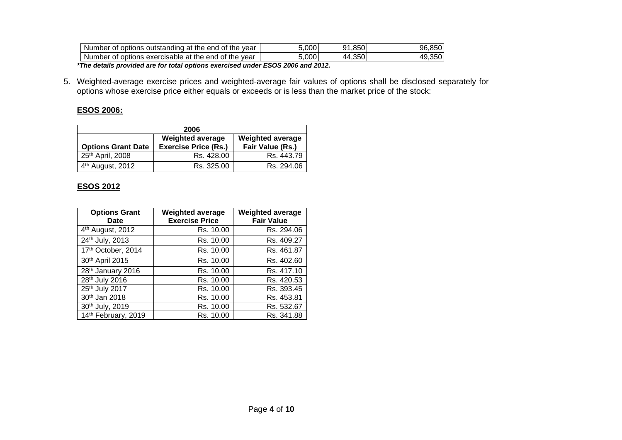| Num<br>vear<br>nber<br>the end of<br>outstanding<br>options<br>the<br>οt<br>at              | .000 | 850<br>ດ1<br>.uu                    | 96<br>эu |
|---------------------------------------------------------------------------------------------|------|-------------------------------------|----------|
| exercisable<br>vear<br>Num<br>the<br>end<br>options<br>nber<br>the<br>at<br>. OT<br>Ωt<br>. | .000 | $\sim$ $\sim$ $\sim$<br>44<br>I.35U | υc       |

*\*The details provided are for total options exercised under ESOS 2006 and 2012.*

5. Weighted-average exercise prices and weighted-average fair values of options shall be disclosed separately for options whose exercise price either equals or exceeds or is less than the market price of the stock:

## **ESOS 2006:**

| 2006                                                                                                                               |            |            |  |  |
|------------------------------------------------------------------------------------------------------------------------------------|------------|------------|--|--|
| <b>Weighted average</b><br><b>Weighted average</b><br>Fair Value (Rs.)<br><b>Exercise Price (Rs.)</b><br><b>Options Grant Date</b> |            |            |  |  |
| 25 <sup>th</sup> April, 2008                                                                                                       | Rs. 428.00 | Rs. 443.79 |  |  |
| 4 <sup>th</sup> August, 2012                                                                                                       | Rs. 325.00 | Rs. 294.06 |  |  |

# **ESOS 2012**

| <b>Options Grant</b><br>Date | <b>Weighted average</b><br><b>Exercise Price</b> | <b>Weighted average</b><br><b>Fair Value</b> |
|------------------------------|--------------------------------------------------|----------------------------------------------|
| 4 <sup>th</sup> August, 2012 | Rs. 10.00                                        | Rs. 294.06                                   |
| 24th July, 2013              | Rs. 10.00                                        | Rs. 409.27                                   |
| 17th October, 2014           | Rs. 10.00                                        | Rs. 461.87                                   |
| 30th April 2015              | Rs. 10.00                                        | Rs. 402.60                                   |
| 28th January 2016            | Rs. 10.00                                        | Rs. 417.10                                   |
| 28th July 2016               | Rs. 10.00                                        | Rs. 420.53                                   |
| 25th July 2017               | Rs. 10.00                                        | Rs. 393.45                                   |
| 30th Jan 2018                | Rs. 10.00                                        | Rs. 453.81                                   |
| 30th July, 2019              | Rs. 10.00                                        | Rs. 532.67                                   |
| 14th February, 2019          | Rs. 10.00                                        | Rs. 341.88                                   |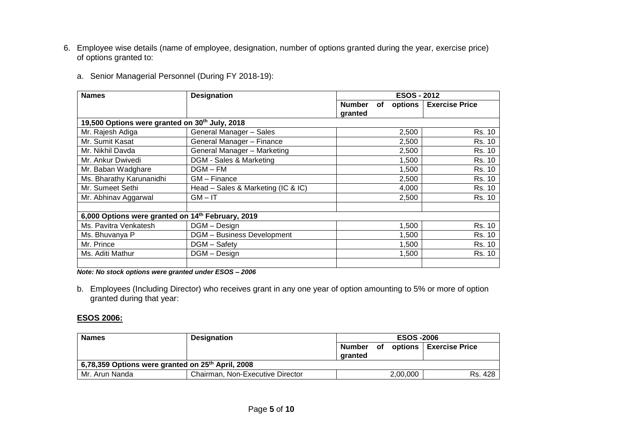6. Employee wise details (name of employee, designation, number of options granted during the year, exercise price) of options granted to:

| <b>Names</b>                                      | <b>Designation</b>                 | <b>ESOS - 2012</b>                        |                       |
|---------------------------------------------------|------------------------------------|-------------------------------------------|-----------------------|
|                                                   |                                    | <b>Number</b><br>options<br>of<br>granted | <b>Exercise Price</b> |
| 19,500 Options were granted on 30th July, 2018    |                                    |                                           |                       |
| Mr. Rajesh Adiga                                  | General Manager - Sales            | 2,500                                     | Rs. 10                |
| Mr. Sumit Kasat                                   | General Manager - Finance          | 2,500                                     | Rs. 10                |
| Mr. Nikhil Davda                                  | General Manager - Marketing        | 2,500                                     | Rs. 10                |
| Mr. Ankur Dwivedi                                 | DGM - Sales & Marketing            | 1,500                                     | Rs. 10                |
| Mr. Baban Wadghare                                | $DGM-FM$                           | 1,500                                     | Rs. 10                |
| Ms. Bharathy Karunanidhi                          | GM - Finance                       | 2,500                                     | Rs. 10                |
| Mr. Sumeet Sethi                                  | Head - Sales & Marketing (IC & IC) | 4,000                                     | Rs. 10                |
| Mr. Abhinav Aggarwal                              | $GM - IT$                          | 2,500                                     | Rs. 10                |
|                                                   |                                    |                                           |                       |
| 6,000 Options were granted on 14th February, 2019 |                                    |                                           |                       |
| Ms. Pavitra Venkatesh                             | DGM - Design                       | 1,500                                     | Rs. 10                |
| Ms. Bhuvanya P                                    | <b>DGM</b> - Business Development  | 1,500                                     | Rs. 10                |
| Mr. Prince                                        | DGM – Safety                       | 1,500                                     | Rs. 10                |
| Ms. Aditi Mathur                                  | DGM - Design                       | 1,500                                     | Rs. 10                |
|                                                   |                                    |                                           |                       |

*Note: No stock options were granted under ESOS – 2006*

b. Employees (Including Director) who receives grant in any one year of option amounting to 5% or more of option granted during that year:

### **ESOS 2006:**

| <b>Names</b>                                                  | <b>Designation</b>               | <b>ESOS -2006</b> |  |          |                                  |
|---------------------------------------------------------------|----------------------------------|-------------------|--|----------|----------------------------------|
|                                                               |                                  | aranted           |  |          | Number of options Exercise Price |
| 6,78,359 Options were granted on 25 <sup>th</sup> April, 2008 |                                  |                   |  |          |                                  |
| Mr. Arun Nanda                                                | Chairman, Non-Executive Director |                   |  | 2,00,000 | Rs. 428                          |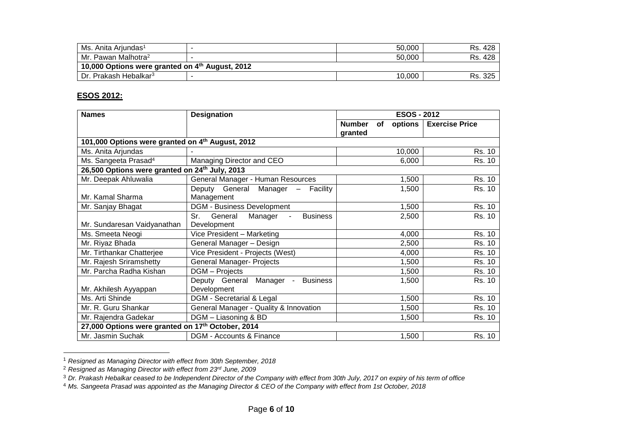| Ms. Anita Ariundas <sup>1</sup>                 |  | 50.000 | Rs. 428        |  |  |
|-------------------------------------------------|--|--------|----------------|--|--|
| Mr. Pawan Malhotra <sup>2</sup>                 |  | 50.000 | Rs. 428        |  |  |
| 10,000 Options were granted on 4th August, 2012 |  |        |                |  |  |
| <sup>1</sup> Dr. Prakash Hebalkar <sup>3</sup>  |  | 10,000 | . 325 '<br>Rs. |  |  |

## **ESOS 2012:**

l

| <b>Names</b>                                               | <b>Designation</b>                                             | <b>ESOS - 2012</b> |                      |                       |  |  |  |
|------------------------------------------------------------|----------------------------------------------------------------|--------------------|----------------------|-----------------------|--|--|--|
|                                                            |                                                                | <b>Number</b>      | options<br><b>of</b> | <b>Exercise Price</b> |  |  |  |
|                                                            |                                                                | granted            |                      |                       |  |  |  |
| 101,000 Options were granted on 4th August, 2012           |                                                                |                    |                      |                       |  |  |  |
| Ms. Anita Arjundas                                         |                                                                |                    | 10,000               | <b>Rs. 10</b>         |  |  |  |
| Ms. Sangeeta Prasad <sup>4</sup>                           | Managing Director and CEO                                      |                    | 6,000                | Rs. 10                |  |  |  |
| 26,500 Options were granted on 24 <sup>th</sup> July, 2013 |                                                                |                    |                      |                       |  |  |  |
| Mr. Deepak Ahluwalia                                       | General Manager - Human Resources                              |                    | 1,500                | <b>Rs. 10</b>         |  |  |  |
|                                                            | Deputy General Manager - Facility                              |                    | 1,500                | Rs. 10                |  |  |  |
| Mr. Kamal Sharma                                           | Management                                                     |                    |                      |                       |  |  |  |
| Mr. Sanjay Bhagat                                          | <b>DGM - Business Development</b>                              |                    | 1,500                | Rs. 10                |  |  |  |
|                                                            | Sr.<br>General<br>Manager<br><b>Business</b><br>$\blacksquare$ |                    | 2,500                | Rs. 10                |  |  |  |
| Mr. Sundaresan Vaidyanathan                                | Development                                                    |                    |                      |                       |  |  |  |
| Ms. Smeeta Neogi                                           | Vice President - Marketing                                     |                    | 4,000                | Rs. 10                |  |  |  |
| Mr. Riyaz Bhada                                            | General Manager - Design                                       |                    | 2,500                | Rs. 10                |  |  |  |
| Mr. Tirthankar Chatterjee                                  | Vice President - Projects (West)                               |                    | 4,000                | Rs. 10                |  |  |  |
| Mr. Rajesh Sriramshetty                                    | <b>General Manager- Projects</b>                               |                    | 1,500                | Rs. 10                |  |  |  |
| Mr. Parcha Radha Kishan                                    | DGM - Projects                                                 |                    | 1,500                | Rs. 10                |  |  |  |
|                                                            | Deputy General Manager -<br><b>Business</b>                    |                    | 1,500                | Rs. 10                |  |  |  |
| Mr. Akhilesh Ayyappan                                      | Development                                                    |                    |                      |                       |  |  |  |
| Ms. Arti Shinde                                            | DGM - Secretarial & Legal                                      |                    | 1,500                | Rs. 10                |  |  |  |
| Mr. R. Guru Shankar                                        | General Manager - Quality & Innovation                         |                    | 1,500                | Rs. 10                |  |  |  |
| Mr. Rajendra Gadekar                                       | DGM - Liasoning & BD<br>1,500                                  |                    |                      |                       |  |  |  |
| 27,000 Options were granted on 17th October, 2014          |                                                                |                    |                      |                       |  |  |  |
| Mr. Jasmin Suchak                                          | DGM - Accounts & Finance                                       |                    | 1,500                | Rs. 10                |  |  |  |

<sup>1</sup> *Resigned as Managing Director with effect from 30th September, 2018*

<sup>2</sup> *Resigned as Managing Director with effect from 23rd June, 2009*

<sup>3</sup> *Dr. Prakash Hebalkar ceased to be Independent Director of the Company with effect from 30th July, 2017 on expiry of his term of office*

<sup>4</sup> *Ms. Sangeeta Prasad was appointed as the Managing Director & CEO of the Company with effect from 1st October, 2018*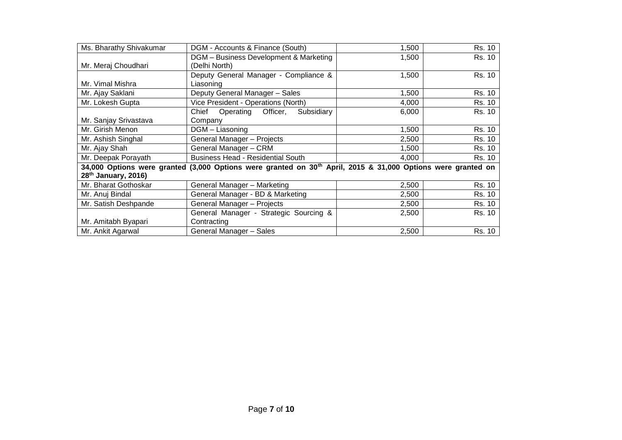| Ms. Bharathy Shivakumar         | DGM - Accounts & Finance (South)                                                                                         | 1,500 | Rs. 10 |
|---------------------------------|--------------------------------------------------------------------------------------------------------------------------|-------|--------|
|                                 | DGM - Business Development & Marketing                                                                                   | 1,500 | Rs. 10 |
| Mr. Meraj Choudhari             | (Delhi North)                                                                                                            |       |        |
|                                 | Deputy General Manager - Compliance &                                                                                    | 1,500 | Rs. 10 |
| Mr. Vimal Mishra                | Liasoning                                                                                                                |       |        |
| Mr. Ajay Saklani                | Deputy General Manager - Sales                                                                                           | 1,500 | Rs. 10 |
| Mr. Lokesh Gupta                | Vice President - Operations (North)                                                                                      | 4,000 | Rs. 10 |
|                                 | Chief<br>Officer,<br>Subsidiary<br>Operating                                                                             | 6,000 | Rs. 10 |
| Mr. Sanjay Srivastava           | Company                                                                                                                  |       |        |
| Mr. Girish Menon                | DGM - Liasoning                                                                                                          | 1,500 | Rs. 10 |
| Mr. Ashish Singhal              | General Manager - Projects                                                                                               | 2,500 | Rs. 10 |
| Mr. Ajay Shah                   | General Manager - CRM                                                                                                    | 1,500 | Rs. 10 |
| Mr. Deepak Porayath             | <b>Business Head - Residential South</b>                                                                                 | 4.000 | Rs. 10 |
|                                 | 34,000 Options were granted (3,000 Options were granted on 30 <sup>th</sup> April, 2015 & 31,000 Options were granted on |       |        |
| 28 <sup>th</sup> January, 2016) |                                                                                                                          |       |        |
| Mr. Bharat Gothoskar            | General Manager - Marketing                                                                                              | 2,500 | Rs. 10 |
| Mr. Anuj Bindal                 | General Manager - BD & Marketing                                                                                         | 2,500 | Rs. 10 |
| Mr. Satish Deshpande            | General Manager - Projects                                                                                               | 2,500 | Rs. 10 |
|                                 | General Manager - Strategic Sourcing &                                                                                   | 2,500 | Rs. 10 |
| Mr. Amitabh Byapari             | Contracting                                                                                                              |       |        |
| Mr. Ankit Agarwal               | General Manager - Sales                                                                                                  | 2,500 | Rs. 10 |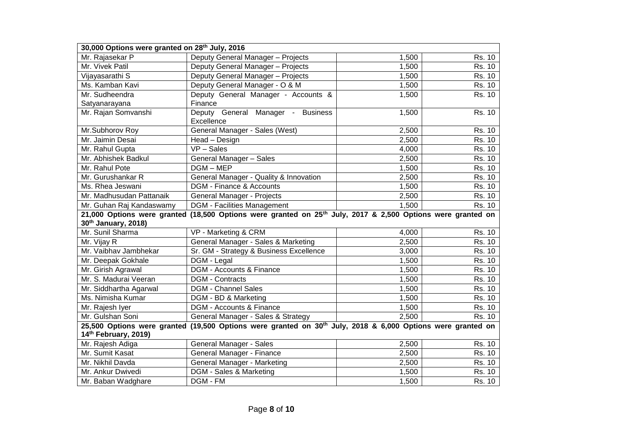| 30,000 Options were granted on 28 <sup>th</sup> July, 2016                                                              |                                                                                                                         |       |        |  |  |  |  |  |
|-------------------------------------------------------------------------------------------------------------------------|-------------------------------------------------------------------------------------------------------------------------|-------|--------|--|--|--|--|--|
| Mr. Rajasekar P                                                                                                         | Deputy General Manager - Projects<br>1,500<br>Rs. 10                                                                    |       |        |  |  |  |  |  |
| Mr. Vivek Patil                                                                                                         | Deputy General Manager - Projects<br>1,500                                                                              |       |        |  |  |  |  |  |
| Vijayasarathi S                                                                                                         | Deputy General Manager - Projects<br>1,500                                                                              |       |        |  |  |  |  |  |
| Ms. Kamban Kavi                                                                                                         | Deputy General Manager - O & M                                                                                          | 1,500 | Rs. 10 |  |  |  |  |  |
| Mr. Sudheendra                                                                                                          | Deputy General Manager - Accounts &<br>1,500<br>Rs. 10                                                                  |       |        |  |  |  |  |  |
| Satyanarayana                                                                                                           | Finance                                                                                                                 |       |        |  |  |  |  |  |
| Mr. Rajan Somvanshi                                                                                                     | Deputy General Manager - Business<br>Excellence                                                                         | 1,500 | Rs. 10 |  |  |  |  |  |
| Mr.Subhorov Roy                                                                                                         | General Manager - Sales (West)                                                                                          | 2,500 | Rs. 10 |  |  |  |  |  |
| Mr. Jaimin Desai                                                                                                        | Head - Design                                                                                                           | 2,500 | Rs. 10 |  |  |  |  |  |
| Mr. Rahul Gupta                                                                                                         | $VP - Sales$                                                                                                            | 4,000 | Rs. 10 |  |  |  |  |  |
| Mr. Abhishek Badkul                                                                                                     | General Manager - Sales                                                                                                 | 2,500 | Rs. 10 |  |  |  |  |  |
| Mr. Rahul Pote                                                                                                          | DGM-MEP                                                                                                                 | 1,500 | Rs. 10 |  |  |  |  |  |
| Mr. Gurushankar R                                                                                                       | General Manager - Quality & Innovation                                                                                  | 2,500 | Rs. 10 |  |  |  |  |  |
| Ms. Rhea Jeswani                                                                                                        | DGM - Finance & Accounts                                                                                                | 1,500 | Rs. 10 |  |  |  |  |  |
| Mr. Madhusudan Pattanaik                                                                                                | General Manager - Projects                                                                                              | 2,500 |        |  |  |  |  |  |
| Rs. 10<br><b>DGM - Facilities Management</b><br>Mr. Guhan Raj Kandaswamy<br>1,500<br>Rs. 10                             |                                                                                                                         |       |        |  |  |  |  |  |
|                                                                                                                         | 21,000 Options were granted (18,500 Options were granted on 25 <sup>th</sup> July, 2017 & 2,500 Options were granted on |       |        |  |  |  |  |  |
| 30th January, 2018)                                                                                                     |                                                                                                                         |       |        |  |  |  |  |  |
| Mr. Sunil Sharma                                                                                                        | VP - Marketing & CRM                                                                                                    | 4,000 | Rs. 10 |  |  |  |  |  |
| Mr. Vijay R                                                                                                             | General Manager - Sales & Marketing                                                                                     | 2,500 | Rs. 10 |  |  |  |  |  |
| Mr. Vaibhav Jambhekar                                                                                                   | Sr. GM - Strategy & Business Excellence                                                                                 | 3,000 | Rs. 10 |  |  |  |  |  |
| Mr. Deepak Gokhale                                                                                                      | DGM - Legal                                                                                                             | 1,500 | Rs. 10 |  |  |  |  |  |
| Mr. Girish Agrawal                                                                                                      | DGM - Accounts & Finance                                                                                                | 1,500 | Rs. 10 |  |  |  |  |  |
| Mr. S. Madurai Veeran                                                                                                   | <b>DGM - Contracts</b>                                                                                                  | 1,500 | Rs. 10 |  |  |  |  |  |
| Mr. Siddhartha Agarwal                                                                                                  | <b>DGM - Channel Sales</b>                                                                                              | 1,500 | Rs. 10 |  |  |  |  |  |
| Ms. Nimisha Kumar                                                                                                       | DGM - BD & Marketing                                                                                                    | 1,500 | Rs. 10 |  |  |  |  |  |
| Mr. Rajesh Iyer                                                                                                         | DGM - Accounts & Finance                                                                                                | 1,500 | Rs. 10 |  |  |  |  |  |
| Mr. Gulshan Soni                                                                                                        | General Manager - Sales & Strategy                                                                                      | 2,500 | Rs. 10 |  |  |  |  |  |
| 25,500 Options were granted (19,500 Options were granted on 30 <sup>th</sup> July, 2018 & 6,000 Options were granted on |                                                                                                                         |       |        |  |  |  |  |  |
| 14th February, 2019)                                                                                                    |                                                                                                                         |       |        |  |  |  |  |  |
| Mr. Rajesh Adiga                                                                                                        | General Manager - Sales                                                                                                 | 2,500 | Rs. 10 |  |  |  |  |  |
| Mr. Sumit Kasat                                                                                                         | General Manager - Finance                                                                                               | 2,500 | Rs. 10 |  |  |  |  |  |
| Mr. Nikhil Davda                                                                                                        | General Manager - Marketing                                                                                             | 2,500 | Rs. 10 |  |  |  |  |  |
| Mr. Ankur Dwivedi                                                                                                       | DGM - Sales & Marketing                                                                                                 | 1,500 | Rs. 10 |  |  |  |  |  |
| Mr. Baban Wadghare                                                                                                      | DGM - FM                                                                                                                | 1,500 | Rs. 10 |  |  |  |  |  |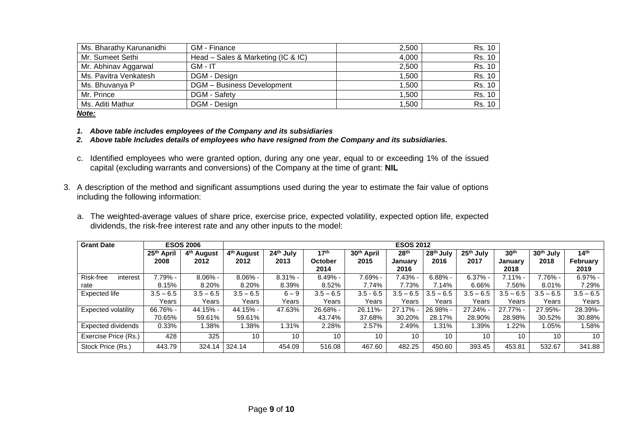| Ms. Bharathy Karunanidhi | GM - Finance                       | 2.500 | Rs. 10 |
|--------------------------|------------------------------------|-------|--------|
| Mr. Sumeet Sethi         | Head – Sales & Marketing (IC & IC) | 4,000 | Rs. 10 |
| Mr. Abhinav Aggarwal     | $GM - IT$                          | 2.500 | Rs. 10 |
| Ms. Pavitra Venkatesh    | DGM - Design                       | 1.500 | Rs. 10 |
| Ms. Bhuvanya P           | <b>DGM</b> - Business Development  | 1,500 | Rs. 10 |
| Mr. Prince               | DGM - Safety                       | 1.500 | Rs. 10 |
| Ms. Aditi Mathur         | DGM - Design                       | 1.500 | Rs. 10 |

### *Note:*

- *1. Above table includes employees of the Company and its subsidiaries*
- *2. Above table Includes details of employees who have resigned from the Company and its subsidiaries.*
- c. Identified employees who were granted option, during any one year, equal to or exceeding 1% of the issued capital (excluding warrants and conversions) of the Company at the time of grant: **NIL**
- 3. A description of the method and significant assumptions used during the year to estimate the fair value of options including the following information:
	- a. The weighted-average values of share price, exercise price, expected volatility, expected option life, expected dividends, the risk-free interest rate and any other inputs to the model:

| <b>Grant Date</b>         | <b>ESOS 2006</b>       |                        | <b>ESOS 2012</b>       |                          |                  |                        |                  |                       |                       |                  |                       |                  |
|---------------------------|------------------------|------------------------|------------------------|--------------------------|------------------|------------------------|------------------|-----------------------|-----------------------|------------------|-----------------------|------------------|
|                           | 25 <sup>th</sup> April | 4 <sup>th</sup> August | 4 <sup>th</sup> August | 24 <sup>th</sup><br>July | 17 <sup>th</sup> | 30 <sup>th</sup> April | 28 <sup>th</sup> | 28 <sup>th</sup> July | 25 <sup>th</sup> July | 30 <sup>th</sup> | 30 <sup>th</sup> July | 14 <sup>th</sup> |
|                           | 2008                   | 2012                   | 2012                   | 2013                     | October          | 2015                   | Januarv          | 2016                  | 2017                  | January          | 2018                  | February         |
|                           |                        |                        |                        |                          | 2014             |                        | 2016             |                       |                       | 2018             |                       | 2019             |
| Risk-free<br>interest     | $7.79% -$              | $8.06\%$ -             | $8.06\%$ -             | $8.31\%$ -               | $8.49% -$        | 7.69% -                | $.43\%$ -        | $6.88% -$             | $6.37% -$             | 7.11% -          | 7.76% -               | $6.97\%$ -       |
| rate                      | 8.15%                  | 8.20%                  | 8.20%                  | 8.39%                    | 8.52%            | 7.74%                  | 7.73%            | 7.14%                 | 6.66%                 | 7.56%            | 8.01%                 | 7.29%            |
| Expected life             | $3.5 - 6.5$            | $3.5 - 6.5$            | $3.5 - 6.5$            | $6 - 9$                  | $3.5 - 6.5$      | $3.5 - 6.5$            | $3.5 - 6.5$      | $3.5 - 6.5$           | $3.5 - 6.5$           | $3.5 - 6.5$      | $3.5 - 6.5$           | $3.5 - 6.5$      |
|                           | Years                  | Years                  | Years                  | Years                    | Years            | Years                  | Years            | Years                 | Years                 | Years            | Years                 | Years            |
| Expected volatility       | 66.76% -               | 44.15% -               | 44.15% -               | 47.63%                   | 26.68% -         | 26.11%-                | $27.17\%$ -      | 26.98% -              | $27.24% -$            | $27.77\%$ -      | 27.95%-               | 28.39%-          |
|                           | 70.65%                 | 59.61%                 | 59.61%                 |                          | 43.74%           | 37.68%                 | 30.20%           | 28.17%                | 28.90%                | 28.98%           | 30.52%                | 30.88%           |
| <b>Expected dividends</b> | 0.33%                  | 1.38%                  | 1.38%                  | 1.31%                    | 2.28%            | 2.57%                  | 2.49%            | 1.31%                 | $.39\%$               | .22%             | .05%                  | 1.58%            |
| Exercise Price (Rs.)      | 428                    | 325                    | 10                     | 10                       | 10               | 10                     | 10               | 10                    | 10                    | 10               | 10                    | 10               |
| Stock Price (Rs.)         | 443.79                 | 324.14                 | 324.14                 | 454.09                   | 516.08           | 467.60                 | 482.25           | 450.60                | 393.45                | 453.81           | 532.67                | 341.88           |